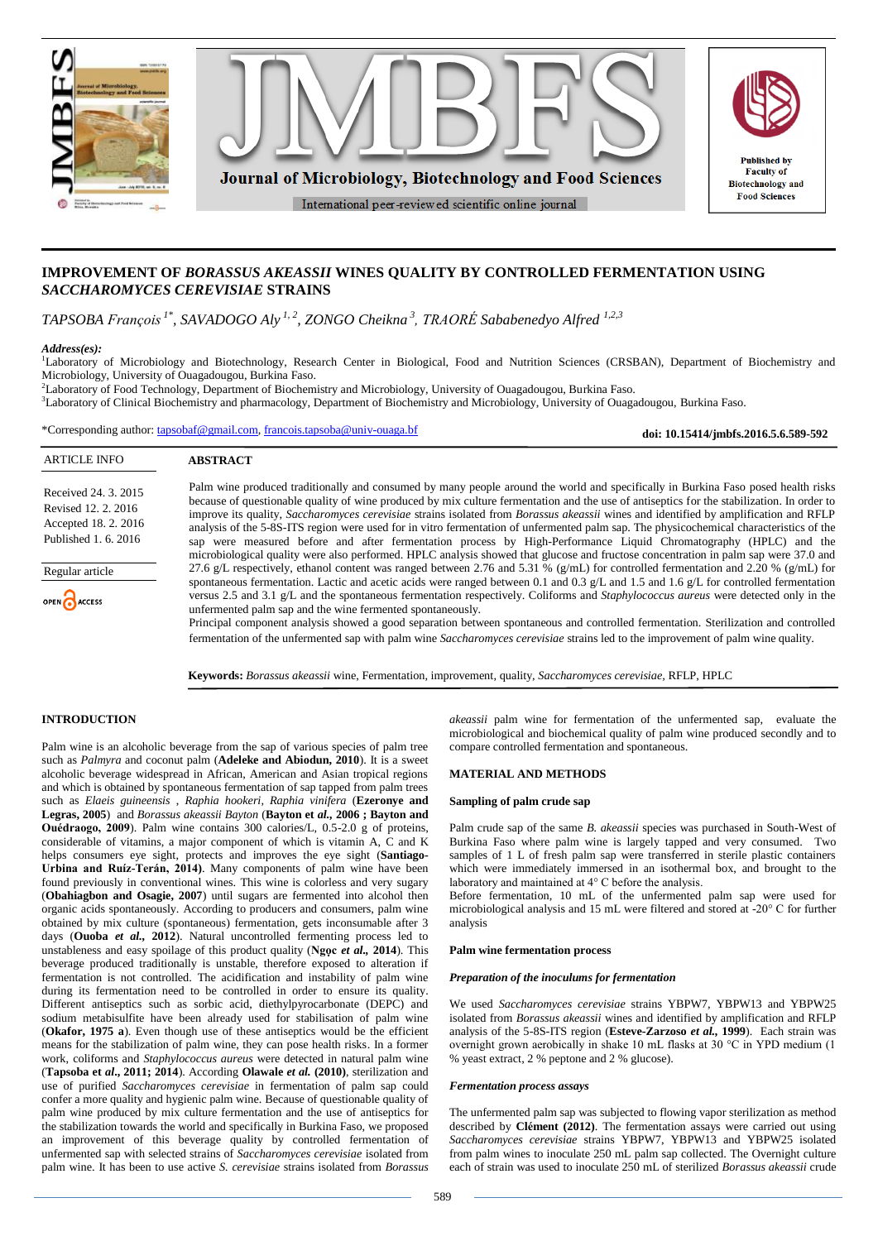

# **IMPROVEMENT OF** *BORASSUS AKEASSII* **WINES QUALITY BY CONTROLLED FERMENTATION USING**  *SACCHAROMYCES CEREVISIAE* **STRAINS**

*TAPSOBA François 1\*, SAVADOGO Aly 1, 2, ZONGO Cheikna <sup>3</sup> , TRAORÉ Sababenedyo Alfred 1,2,3*

## *Address(es):*

<sup>1</sup>Laboratory of Microbiology and Biotechnology, Research Center in Biological, Food and Nutrition Sciences (CRSBAN), Department of Biochemistry and Microbiology, University of Ouagadougou, Burkina Faso.

<sup>2</sup>Laboratory of Food Technology, Department of Biochemistry and Microbiology, University of Ouagadougou, Burkina Faso.

<sup>3</sup>Laboratory of Clinical Biochemistry and pharmacology, Department of Biochemistry and Microbiology, University of Ouagadougou, Burkina Faso.

\*Corresponding author: [tapsobaf@gmail.com,](mailto:tapsobaf@gmail.com) [francois.tapsoba@univ-ouaga.bf](mailto:francois.tapsoba@univ-ouaga.bf)

**doi: 10.15414/jmbfs.2016.5.6.589-592**

| <b>ARTICLE INFO</b>                                                                         | <b>ABSTRACT</b>                                                                                                                                                                                                                                                                                                                                                                                                                                                                                                                                                                                                                                                                                                                                                                                                               |
|---------------------------------------------------------------------------------------------|-------------------------------------------------------------------------------------------------------------------------------------------------------------------------------------------------------------------------------------------------------------------------------------------------------------------------------------------------------------------------------------------------------------------------------------------------------------------------------------------------------------------------------------------------------------------------------------------------------------------------------------------------------------------------------------------------------------------------------------------------------------------------------------------------------------------------------|
| Received 24, 3, 2015<br>Revised 12, 2, 2016<br>Accepted 18. 2. 2016<br>Published 1, 6, 2016 | Palm wine produced traditionally and consumed by many people around the world and specifically in Burkina Faso posed health risks<br>because of questionable quality of wine produced by mix culture fermentation and the use of antiseptics for the stabilization. In order to<br>improve its quality, Saccharomyces cerevisiae strains isolated from Borassus akeassii wines and identified by amplification and RFLP<br>analysis of the 5-8S-ITS region were used for in vitro fermentation of unfermented palm sap. The physicochemical characteristics of the<br>sap were measured before and after fermentation process by High-Performance Liquid Chromatography (HPLC) and the<br>microbiological quality were also performed. HPLC analysis showed that glucose and fructose concentration in palm sap were 37.0 and |
| Regular article<br>OPEN CACCESS                                                             | 27.6 g/L respectively, ethanol content was ranged between 2.76 and 5.31 % (g/mL) for controlled fermentation and 2.20 % (g/mL) for<br>spontaneous fermentation. Lactic and acetic acids were ranged between 0.1 and 0.3 $\mathcal{Q}/L$ and 1.5 and 1.6 $\mathcal{Q}/L$ for controlled fermentation<br>versus 2.5 and 3.1 g/L and the spontaneous fermentation respectively. Coliforms and <i>Staphylococcus aureus</i> were detected only in the<br>unfermented palm sap and the wine fermented spontaneously.                                                                                                                                                                                                                                                                                                               |
|                                                                                             | Principal component analysis showed a good separation between spontaneous and controlled fermentation. Sterilization and controlled                                                                                                                                                                                                                                                                                                                                                                                                                                                                                                                                                                                                                                                                                           |

fermentation of the unfermented sap with palm wine *Saccharomyces cerevisiae* strains led to the improvement of palm wine quality.

**Keywords:** *Borassus akeassii* wine, Fermentation, improvement, quality, *Saccharomyces cerevisiae,* RFLP, HPLC

## **INTRODUCTION**

Palm wine is an alcoholic beverage from the sap of various species of palm tree such as *Palmyra* and coconut palm (**Adeleke and Abiodun, 2010**). It is a sweet alcoholic beverage widespread in African, American and Asian tropical regions and which is obtained by spontaneous fermentation of sap tapped from palm trees such as *Elaeis guineensis* , *Raphia hookeri, Raphia vinifera* (**Ezeronye and Legras, 2005**) and *Borassus akeassii Bayton* (**Bayton et** *al.,* **2006 ; Bayton and Ouédraogo, 2009**). Palm wine contains 300 calories/L, 0.5-2.0 g of proteins, considerable of vitamins, a major component of which is vitamin A, C and K helps consumers eye sight, protects and improves the eye sight (**Santiago-Urbina and Ruíz-Terán, 2014)**. Many components of palm wine have been found previously in conventional wines. This wine is colorless and very sugary (**Obahiagbon and Osagie, 2007**) until sugars are fermented into alcohol then organic acids spontaneously. According to producers and consumers, palm wine obtained by mix culture (spontaneous) fermentation, gets inconsumable after 3 days (**Ouoba** *et al.,* **2012**). Natural uncontrolled fermenting process led to unstableness and easy spoilage of this product quality (**Ngọc** *et al.,* **2014**). This beverage produced traditionally is unstable, therefore exposed to alteration if fermentation is not controlled. The acidification and instability of palm wine during its fermentation need to be controlled in order to ensure its quality. Different antiseptics such as sorbic acid, diethylpyrocarbonate (DEPC) and sodium metabisulfite have been already used for stabilisation of palm wine (**Okafor, 1975 a**). Even though use of these antiseptics would be the efficient means for the stabilization of palm wine, they can pose health risks. In a former work, coliforms and *Staphylococcus aureus* were detected in natural palm wine (**Tapsoba et** *al***., 2011; 2014**). According **Olawale** *et al.* **(2010)**, sterilization and use of purified *Saccharomyces cerevisiae* in fermentation of palm sap could confer a more quality and hygienic palm wine. Because of questionable quality of palm wine produced by mix culture fermentation and the use of antiseptics for the stabilization towards the world and specifically in Burkina Faso, we proposed an improvement of this beverage quality by controlled fermentation of unfermented sap with selected strains of *Saccharomyces cerevisiae* isolated from palm wine. It has been to use active *S. cerevisiae* strains isolated from *Borassus* 

*akeassii* palm wine for fermentation of the unfermented sap, evaluate the microbiological and biochemical quality of palm wine produced secondly and to compare controlled fermentation and spontaneous.

## **MATERIAL AND METHODS**

#### **Sampling of palm crude sap**

Palm crude sap of the same *B. akeassii* species was purchased in South-West of Burkina Faso where palm wine is largely tapped and very consumed. Two samples of 1 L of fresh palm sap were transferred in sterile plastic containers which were immediately immersed in an isothermal box, and brought to the laboratory and maintained at 4° C before the analysis.

Before fermentation, 10 mL of the unfermented palm sap were used for microbiological analysis and 15 mL were filtered and stored at -20° C for further analysis

#### **Palm wine fermentation process**

#### *Preparation of the inoculums for fermentation*

We used *Saccharomyces cerevisiae* strains YBPW7, YBPW13 and YBPW25 isolated from *Borassus akeassii* wines and identified by amplification and RFLP analysis of the 5-8S-ITS region (**Esteve-Zarzoso** *et al.,* **1999**). Each strain was overnight grown aerobically in shake 10 mL flasks at 30 °C in YPD medium (1 % yeast extract, 2 % peptone and 2 % glucose).

### *Fermentation process assays*

The unfermented palm sap was subjected to flowing vapor sterilization as method described by **Clément (2012)**. The fermentation assays were carried out using *Saccharomyces cerevisiae* strains YBPW7, YBPW13 and YBPW25 isolated from palm wines to inoculate 250 mL palm sap collected. The Overnight culture each of strain was used to inoculate 250 mL of sterilized *Borassus akeassii* crude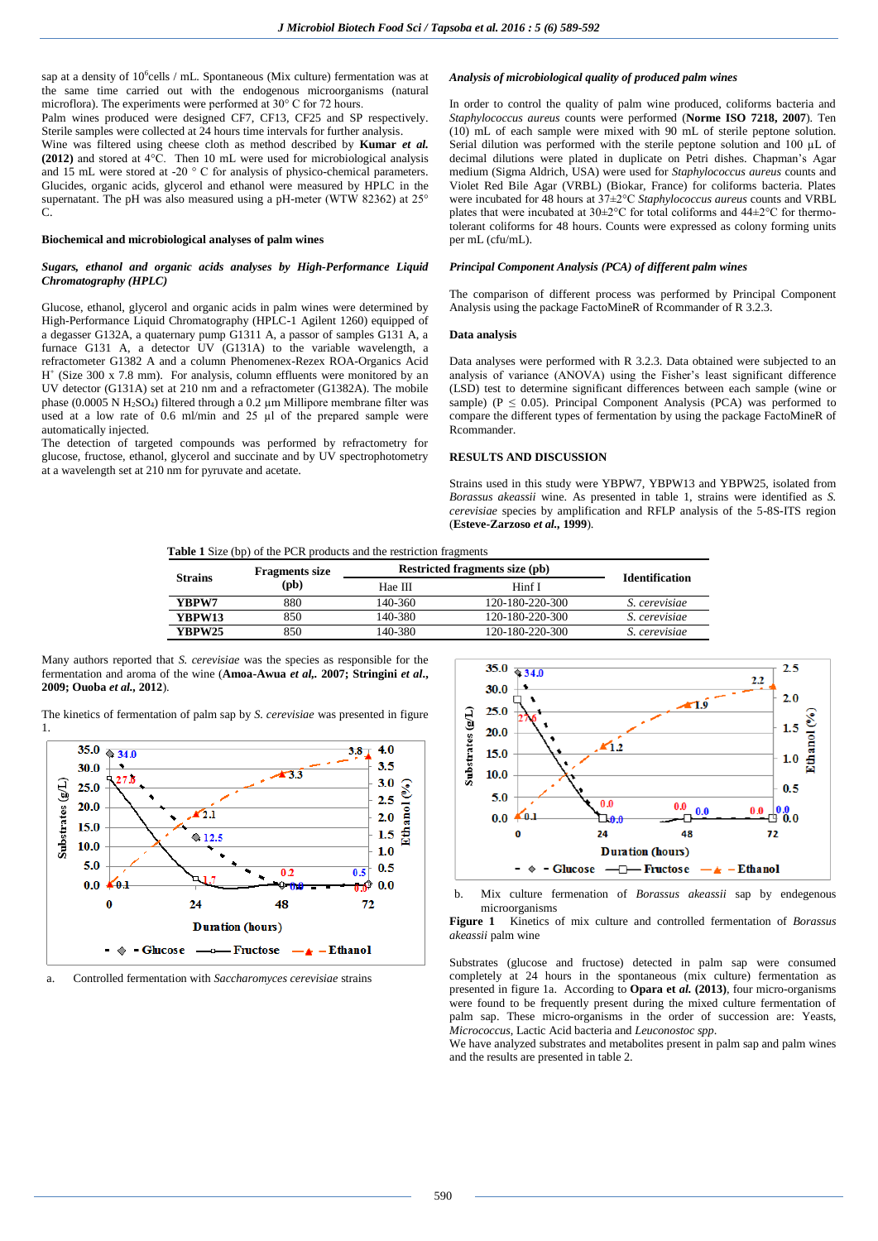sap at a density of  $10^6$ cells / mL. Spontaneous (Mix culture) fermentation was at the same time carried out with the endogenous microorganisms (natural microflora). The experiments were performed at 30° C for 72 hours.

Palm wines produced were designed CF7, CF13, CF25 and SP respectively. Sterile samples were collected at 24 hours time intervals for further analysis.

Wine was filtered using cheese cloth as method described by **Kumar** *et al.* **(2012)** and stored at 4°C. Then 10 mL were used for microbiological analysis and 15 mL were stored at -20 ° C for analysis of physico-chemical parameters. Glucides, organic acids, glycerol and ethanol were measured by HPLC in the supernatant. The pH was also measured using a pH-meter (WTW 82362) at 25°  $\mathcal{C}$ 

## **Biochemical and microbiological analyses of palm wines**

#### *Sugars, ethanol and organic acids analyses by High-Performance Liquid Chromatography (HPLC)*

Glucose, ethanol, glycerol and organic acids in palm wines were determined by High-Performance Liquid Chromatography (HPLC-1 Agilent 1260) equipped of a degasser G132A, a quaternary pump G1311 A, a passor of samples G131 A, a furnace G131 A, a detector UV (G131A) to the variable wavelength, a refractometer G1382 A and a column Phenomenex-Rezex ROA-Organics Acid H + (Size 300 x 7.8 mm). For analysis, column effluents were monitored by an UV detector (G131A) set at 210 nm and a refractometer (G1382A). The mobile phase (0.0005 N H2SO4) filtered through a 0.2 µm Millipore membrane filter was used at a low rate of 0.6 ml/min and 25 µl of the prepared sample were automatically injected.

The detection of targeted compounds was performed by refractometry for glucose, fructose, ethanol, glycerol and succinate and by UV spectrophotometry at a wavelength set at 210 nm for pyruvate and acetate.

## *Analysis of microbiological quality of produced palm wines*

In order to control the quality of palm wine produced, coliforms bacteria and *Staphylococcus aureus* counts were performed (**Norme ISO 7218, 2007**). Ten (10) mL of each sample were mixed with 90 mL of sterile peptone solution. Serial dilution was performed with the sterile peptone solution and 100 µL of decimal dilutions were plated in duplicate on Petri dishes. Chapman's Agar medium (Sigma Aldrich, USA) were used for *Staphylococcus aureus* counts and Violet Red Bile Agar (VRBL) (Biokar, France) for coliforms bacteria. Plates were incubated for 48 hours at 37±2°C *Staphylococcus aureus* counts and VRBL plates that were incubated at  $30\pm2\degree$ C for total coliforms and  $44\pm2\degree$ C for thermotolerant coliforms for 48 hours. Counts were expressed as colony forming units per mL (cfu/mL).

### *Principal Component Analysis (PCA) of different palm wines*

The comparison of different process was performed by Principal Component Analysis using the package FactoMineR of Rcommander of R 3.2.3.

#### **Data analysis**

Data analyses were performed with R 3.2.3. Data obtained were subjected to an analysis of variance (ANOVA) using the Fisher's least significant difference (LSD) test to determine significant differences between each sample (wine or sample) ( $P \le 0.05$ ). Principal Component Analysis (PCA) was performed to compare the different types of fermentation by using the package FactoMineR of **Rcommander** 

## **RESULTS AND DISCUSSION**

Strains used in this study were YBPW7, YBPW13 and YBPW25, isolated from *Borassus akeassii* wine. As presented in table 1, strains were identified as *S. cerevisiae* species by amplification and RFLP analysis of the 5-8S-ITS region (**Esteve-Zarzoso** *et al.,* **1999**).

#### **Table 1** Size (bp) of the PCR products and the restriction fragments

| <b>Strains</b> | <b>Fragments size</b> | <b>Restricted fragments size (pb)</b> | <b>Identification</b> |                      |
|----------------|-----------------------|---------------------------------------|-----------------------|----------------------|
|                | $(\mathbf{pb})$       | Hae III                               | Hinf I                |                      |
| YBPW7          | 880                   | 140-360                               | 120-180-220-300       | <i>S. cerevisiae</i> |
| YBPW13         | 850                   | 140-380                               | 120-180-220-300       | <i>S. cerevisiae</i> |
| YBPW25         | 850                   | 140-380                               | 120-180-220-300       | S. cerevisiae        |

Many authors reported that *S. cerevisiae* was the species as responsible for the fermentation and aroma of the wine (**Amoa-Awua** *et al,.* **2007; Stringini** *et al***., 2009; Ouoba** *et al.,* **2012**).

The kinetics of fermentation of palm sap by *S. cerevisiae* was presented in figure



a. Controlled fermentation with *Saccharomyces cerevisiae* strains



b. Mix culture fermenation of *Borassus akeassii* sap by endegenous microorganisms

**Figure 1** Kinetics of mix culture and controlled fermentation of *Borassus akeassii* palm wine

Substrates (glucose and fructose) detected in palm sap were consumed completely at 24 hours in the spontaneous (mix culture) fermentation as presented in figure 1a. According to **Opara et** *al.* **(2013)**, four micro-organisms were found to be frequently present during the mixed culture fermentation of palm sap. These micro-organisms in the order of succession are: Yeasts, *Micrococcus*, Lactic Acid bacteria and *Leuconostoc spp*.

We have analyzed substrates and metabolites present in palm sap and palm wines and the results are presented in table 2.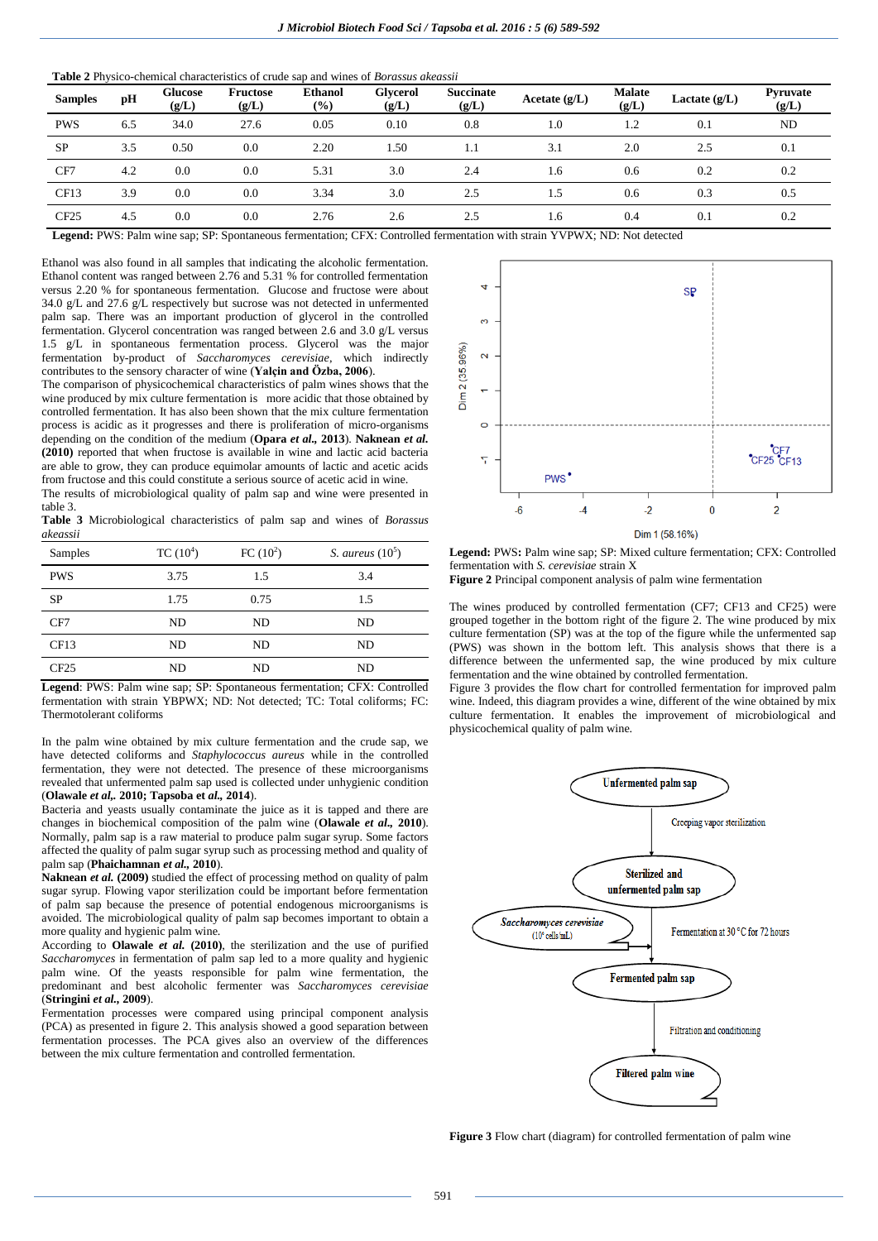**Table 2** Physico-chemical characteristics of crude sap and wines of *Borassus akeassii*

| <b>Samples</b> | pH  | Glucose<br>(g/L) | <b>Fructose</b><br>(g/L) | <b>Ethanol</b><br>$(\%)$ | <b>Glycerol</b><br>(g/L) | <b>Succinate</b><br>(g/L) | Acetate $(g/L)$ | <b>Malate</b><br>(g/L) | Lactate $(g/L)$ | Pyruvate<br>(g/L) |
|----------------|-----|------------------|--------------------------|--------------------------|--------------------------|---------------------------|-----------------|------------------------|-----------------|-------------------|
| <b>PWS</b>     | 6.5 | 34.0             | 27.6                     | 0.05                     | 0.10                     | 0.8                       | 1.0             | 1.2                    | 0.1             | <b>ND</b>         |
| <b>SP</b>      | 3.5 | 0.50             | 0.0                      | 2.20                     | 1.50                     | 1.1                       | 3.1             | 2.0                    | 2.5             | 0.1               |
| CF7            | 4.2 | 0.0              | 0.0                      | 5.31                     | 3.0                      | 2.4                       | 1.6             | 0.6                    | 0.2             | 0.2               |
| CF13           | 3.9 | 0.0              | 0.0                      | 3.34                     | 3.0                      | 2.5                       | 1.5             | 0.6                    | 0.3             | 0.5               |
| CF25           | 4.5 | 0.0              | 0.0                      | 2.76                     | 2.6                      | 2.5                       | 1.6             | 0.4                    | 0.1             | 0.2               |

**Legend:** PWS: Palm wine sap; SP: Spontaneous fermentation; CFX: Controlled fermentation with strain YVPWX; ND: Not detected

Ethanol was also found in all samples that indicating the alcoholic fermentation. Ethanol content was ranged between 2.76 and 5.31 % for controlled fermentation versus 2.20 % for spontaneous fermentation. Glucose and fructose were about 34.0 g/L and 27.6 g/L respectively but sucrose was not detected in unfermented palm sap. There was an important production of glycerol in the controlled fermentation. Glycerol concentration was ranged between 2.6 and 3.0 g/L versus 1.5 g/L in spontaneous fermentation process. Glycerol was the major fermentation by-product of *Saccharomyces cerevisiae*, which indirectly contributes to the sensory character of wine (**Yalçin and Özba, 2006**).

The comparison of physicochemical characteristics of palm wines shows that the wine produced by mix culture fermentation is more acidic that those obtained by controlled fermentation. It has also been shown that the mix culture fermentation process is acidic as it progresses and there is proliferation of micro-organisms depending on the condition of the medium (**Opara** *et al.,* **2013**). **Naknean** *et al.* **(2010)** reported that when fructose is available in wine and lactic acid bacteria are able to grow, they can produce equimolar amounts of lactic and acetic acids from fructose and this could constitute a serious source of acetic acid in wine.

The results of microbiological quality of palm sap and wine were presented in table 3.

**Table 3** Microbiological characteristics of palm sap and wines of *Borassus akeassii*

| Samples    | $TC(10^4)$ | FC $(10^2)$ | S. aureus $(10^5)$ |
|------------|------------|-------------|--------------------|
| <b>PWS</b> | 3.75       | 1.5         | 3.4                |
| <b>SP</b>  | 1.75       | 0.75        | 1.5                |
| CF7        | ND         | ND          | ND                 |
| CF13       | ND         | ND          | ND                 |
| CF25       | ND         | ND          | ND                 |

**Legend**: PWS: Palm wine sap; SP: Spontaneous fermentation; CFX: Controlled fermentation with strain YBPWX; ND: Not detected; TC: Total coliforms; FC: Thermotolerant coliforms

In the palm wine obtained by mix culture fermentation and the crude sap, we have detected coliforms and *Staphylococcus aureus* while in the controlled fermentation, they were not detected. The presence of these microorganisms revealed that unfermented palm sap used is collected under unhygienic condition (**Olawale** *et al,.* **2010; Tapsoba et** *al.,* **2014**).

Bacteria and yeasts usually contaminate the juice as it is tapped and there are changes in biochemical composition of the palm wine (**Olawale** *et al.,* **2010**). Normally, palm sap is a raw material to produce palm sugar syrup. Some factors affected the quality of palm sugar syrup such as processing method and quality of palm sap (**Phaichamnan** *et al.,* **2010**).

**Naknean** *et al.* **(2009)** studied the effect of processing method on quality of palm sugar syrup. Flowing vapor sterilization could be important before fermentation of palm sap because the presence of potential endogenous microorganisms is avoided. The microbiological quality of palm sap becomes important to obtain a more quality and hygienic palm wine.

According to **Olawale** *et al.* **(2010)**, the sterilization and the use of purified *Saccharomyces* in fermentation of palm sap led to a more quality and hygienic palm wine. Of the yeasts responsible for palm wine fermentation, the predominant and best alcoholic fermenter was *Saccharomyces cerevisiae* (**Stringini** *et al.,* **2009**).

Fermentation processes were compared using principal component analysis (PCA) as presented in figure 2. This analysis showed a good separation between fermentation processes. The PCA gives also an overview of the differences between the mix culture fermentation and controlled fermentation.



Legend: PWS: Palm wine sap; SP: Mixed culture fermentation; CFX: Controlled fermentation with *S. cerevisiae* strain X

**Figure 2** Principal component analysis of palm wine fermentation

The wines produced by controlled fermentation (CF7; CF13 and CF25) were grouped together in the bottom right of the figure 2. The wine produced by mix culture fermentation (SP) was at the top of the figure while the unfermented sap (PWS) was shown in the bottom left. This analysis shows that there is a difference between the unfermented sap, the wine produced by mix culture fermentation and the wine obtained by controlled fermentation.

Figure 3 provides the flow chart for controlled fermentation for improved palm wine. Indeed, this diagram provides a wine, different of the wine obtained by mix culture fermentation. It enables the improvement of microbiological and physicochemical quality of palm wine.



**Figure 3** Flow chart (diagram) for controlled fermentation of palm wine